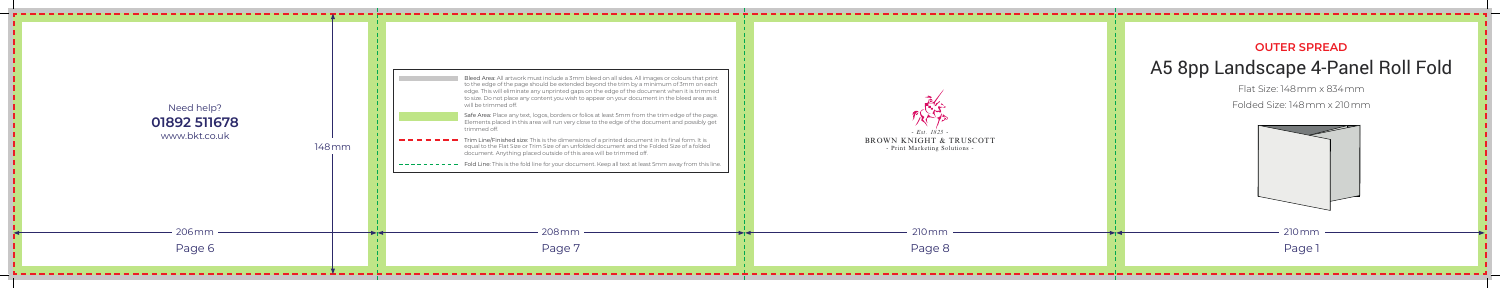